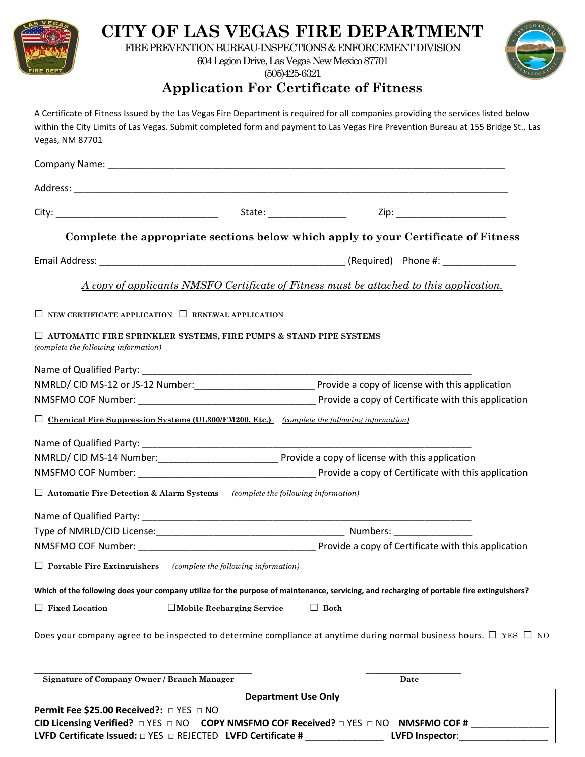

# **CITY OF LAS VEGAS FIRE DEPARTMENT**

FIRE PREVENTION BUREAU-INSPECTIONS & ENFORCEMENT DIVISION

604 Legion Drive, Las Vegas New Mexico 87701 (505)425-6321



### **Application For Certificate of Fitness**

| Vegas, NM 87701                                                                                                                                                                              | A Certificate of Fitness Issued by the Las Vegas Fire Department is required for all companies providing the services listed below<br>within the City Limits of Las Vegas. Submit completed form and payment to Las Vegas Fire Prevention Bureau at 155 Bridge St., Las |
|----------------------------------------------------------------------------------------------------------------------------------------------------------------------------------------------|-------------------------------------------------------------------------------------------------------------------------------------------------------------------------------------------------------------------------------------------------------------------------|
|                                                                                                                                                                                              |                                                                                                                                                                                                                                                                         |
|                                                                                                                                                                                              |                                                                                                                                                                                                                                                                         |
|                                                                                                                                                                                              |                                                                                                                                                                                                                                                                         |
|                                                                                                                                                                                              |                                                                                                                                                                                                                                                                         |
|                                                                                                                                                                                              | Complete the appropriate sections below which apply to your Certificate of Fitness                                                                                                                                                                                      |
|                                                                                                                                                                                              |                                                                                                                                                                                                                                                                         |
|                                                                                                                                                                                              | <u>A copy of applicants NMSFO Certificate of Fitness must be attached to this application.</u>                                                                                                                                                                          |
| $\Box$ NEW CERTIFICATE APPLICATION $\Box$ RENEWAL APPLICATION                                                                                                                                |                                                                                                                                                                                                                                                                         |
| $\Box$ automatic fire sprinkler systems, fire pumps & stand pipe systems<br>(complete the following information)                                                                             |                                                                                                                                                                                                                                                                         |
|                                                                                                                                                                                              |                                                                                                                                                                                                                                                                         |
| $\Box$ Chemical Fire Suppression Systems (UL300/FM200, Etc.) (complete the following information)                                                                                            |                                                                                                                                                                                                                                                                         |
|                                                                                                                                                                                              |                                                                                                                                                                                                                                                                         |
|                                                                                                                                                                                              |                                                                                                                                                                                                                                                                         |
|                                                                                                                                                                                              |                                                                                                                                                                                                                                                                         |
| $\Box$ Automatic Fire Detection & Alarm Systems (complete the following information)                                                                                                         |                                                                                                                                                                                                                                                                         |
|                                                                                                                                                                                              |                                                                                                                                                                                                                                                                         |
| Type of NMRLD/CID License:<br>NMSFMO COF Number:                                                                                                                                             | Numbers:<br>Provide a copy of Certificate with this application                                                                                                                                                                                                         |
| $\Box$ Portable Fire Extinguishers<br>(complete the following information)                                                                                                                   |                                                                                                                                                                                                                                                                         |
|                                                                                                                                                                                              | Which of the following does your company utilize for the purpose of maintenance, servicing, and recharging of portable fire extinguishers?                                                                                                                              |
| $\Box$ Fixed Location<br>□Mobile Recharging Service                                                                                                                                          | $\Box$ Both                                                                                                                                                                                                                                                             |
|                                                                                                                                                                                              | Does your company agree to be inspected to determine compliance at anytime during normal business hours. $\Box$ YES $\Box$ NO                                                                                                                                           |
| <b>Signature of Company Owner / Branch Manager</b>                                                                                                                                           | Date                                                                                                                                                                                                                                                                    |
| <b>Department Use Only</b><br>Permit Fee \$25.00 Received?: □ YES □ NO<br><b>CID Licensing Verified?</b> $\Box$ YES $\Box$ NO<br>COPY NMSFMO COF Received? $\Box$ YES $\Box$ NO NMSFMO COF # |                                                                                                                                                                                                                                                                         |

**LVFD Certificate Issued:** □ YES □ REJECTED **LVFD Certificate #** \_\_\_\_\_\_\_\_\_\_\_\_\_\_\_ **LVFD Inspector**:\_\_\_\_\_\_\_\_\_\_\_\_\_\_\_\_\_